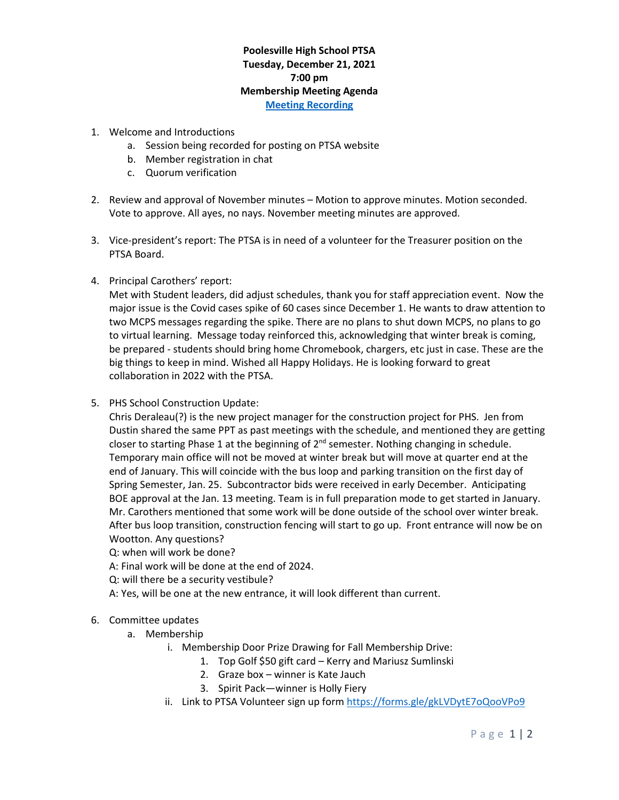## **Poolesville High School PTSA Tuesday, December 21, 2021 7:00 pm Membership Meeting Agenda [Meeting Recording](https://www.poolesvillehighschoolptsa.org/ptsa-minutes)**

- 1. Welcome and Introductions
	- a. Session being recorded for posting on PTSA website
	- b. Member registration in chat
	- c. Quorum verification
- 2. Review and approval of November minutes Motion to approve minutes. Motion seconded. Vote to approve. All ayes, no nays. November meeting minutes are approved.
- 3. Vice-president's report: The PTSA is in need of a volunteer for the Treasurer position on the PTSA Board.
- 4. Principal Carothers' report:

Met with Student leaders, did adjust schedules, thank you for staff appreciation event. Now the major issue is the Covid cases spike of 60 cases since December 1. He wants to draw attention to two MCPS messages regarding the spike. There are no plans to shut down MCPS, no plans to go to virtual learning. Message today reinforced this, acknowledging that winter break is coming, be prepared - students should bring home Chromebook, chargers, etc just in case. These are the big things to keep in mind. Wished all Happy Holidays. He is looking forward to great collaboration in 2022 with the PTSA.

5. PHS School Construction Update:

Chris Deraleau(?) is the new project manager for the construction project for PHS. Jen from Dustin shared the same PPT as past meetings with the schedule, and mentioned they are getting closer to starting Phase 1 at the beginning of  $2^{nd}$  semester. Nothing changing in schedule. Temporary main office will not be moved at winter break but will move at quarter end at the end of January. This will coincide with the bus loop and parking transition on the first day of Spring Semester, Jan. 25. Subcontractor bids were received in early December. Anticipating BOE approval at the Jan. 13 meeting. Team is in full preparation mode to get started in January. Mr. Carothers mentioned that some work will be done outside of the school over winter break. After bus loop transition, construction fencing will start to go up. Front entrance will now be on Wootton. Any questions?

- Q: when will work be done?
- A: Final work will be done at the end of 2024.
- Q: will there be a security vestibule?

A: Yes, will be one at the new entrance, it will look different than current.

- 6. Committee updates
	- a. Membership
		- i. Membership Door Prize Drawing for Fall Membership Drive:
			- 1. Top Golf \$50 gift card Kerry and Mariusz Sumlinski
			- 2. Graze box winner is Kate Jauch
			- 3. Spirit Pack—winner is Holly Fiery
		- ii. Link to PTSA Volunteer sign up form<https://forms.gle/gkLVDytE7oQooVPo9>